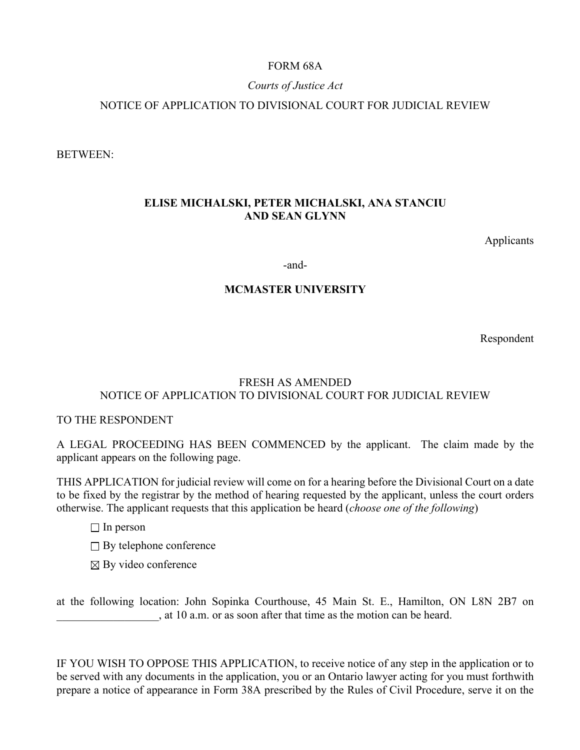# FORM 68A

## *Courts of Justice Act*

## NOTICE OF APPLICATION TO DIVISIONAL COURT FOR JUDICIAL REVIEW

BETWEEN:

## **ELISE MICHALSKI, PETER MICHALSKI, ANA STANCIU AND SEAN GLYNN**

Applicants

-and-

### **MCMASTER UNIVERSITY**

Respondent

# FRESH AS AMENDED NOTICE OF APPLICATION TO DIVISIONAL COURT FOR JUDICIAL REVIEW

### TO THE RESPONDENT

A LEGAL PROCEEDING HAS BEEN COMMENCED by the applicant. The claim made by the applicant appears on the following page.

THIS APPLICATION for judicial review will come on for a hearing before the Divisional Court on a date to be fixed by the registrar by the method of hearing requested by the applicant, unless the court orders otherwise. The applicant requests that this application be heard (*choose one of the following*)

- $\Box$  In person
- $\Box$  By telephone conference
- $\boxtimes$  By video conference

at the following location: John Sopinka Courthouse, 45 Main St. E., Hamilton, ON L8N 2B7 on , at 10 a.m. or as soon after that time as the motion can be heard.

IF YOU WISH TO OPPOSE THIS APPLICATION, to receive notice of any step in the application or to be served with any documents in the application, you or an Ontario lawyer acting for you must forthwith prepare a notice of appearance in Form 38A prescribed by the Rules of Civil Procedure, serve it on the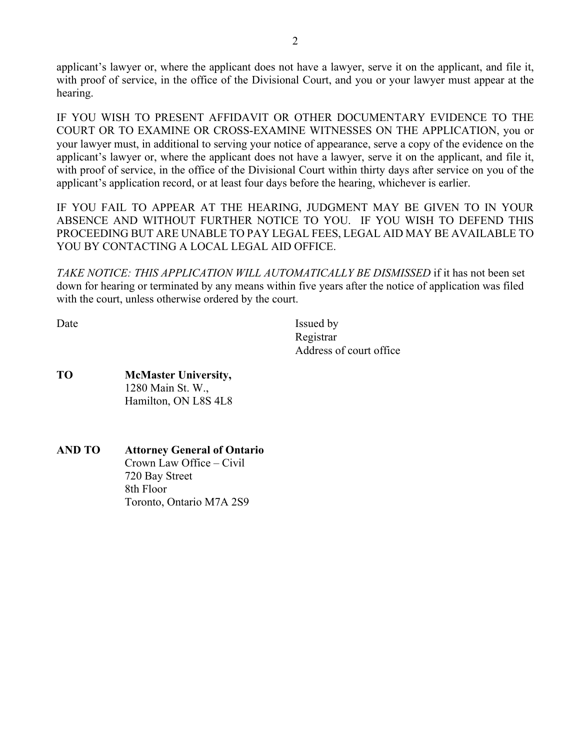applicant's lawyer or, where the applicant does not have a lawyer, serve it on the applicant, and file it, with proof of service, in the office of the Divisional Court, and you or your lawyer must appear at the hearing.

IF YOU WISH TO PRESENT AFFIDAVIT OR OTHER DOCUMENTARY EVIDENCE TO THE COURT OR TO EXAMINE OR CROSS-EXAMINE WITNESSES ON THE APPLICATION, you or your lawyer must, in additional to serving your notice of appearance, serve a copy of the evidence on the applicant's lawyer or, where the applicant does not have a lawyer, serve it on the applicant, and file it, with proof of service, in the office of the Divisional Court within thirty days after service on you of the applicant's application record, or at least four days before the hearing, whichever is earlier.

IF YOU FAIL TO APPEAR AT THE HEARING, JUDGMENT MAY BE GIVEN TO IN YOUR ABSENCE AND WITHOUT FURTHER NOTICE TO YOU. IF YOU WISH TO DEFEND THIS PROCEEDING BUT ARE UNABLE TO PAY LEGAL FEES, LEGAL AID MAY BE AVAILABLE TO YOU BY CONTACTING A LOCAL LEGAL AID OFFICE.

*TAKE NOTICE: THIS APPLICATION WILL AUTOMATICALLY BE DISMISSED* if it has not been set down for hearing or terminated by any means within five years after the notice of application was filed with the court, unless otherwise ordered by the court.

Date Issued by Issued by Registrar Address of court office

- **TO McMaster University,** 1280 Main St. W., Hamilton, ON L8S 4L8
- **AND TO Attorney General of Ontario** Crown Law Office – Civil 720 Bay Street 8th Floor Toronto, Ontario M7A 2S9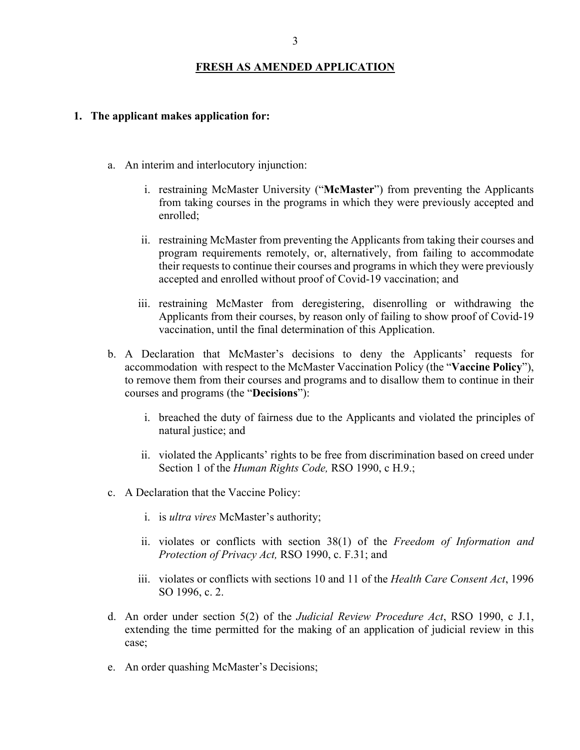#### **FRESH AS AMENDED APPLICATION**

#### **1. The applicant makes application for:**

- a. An interim and interlocutory injunction:
	- i. restraining McMaster University ("**McMaster**") from preventing the Applicants from taking courses in the programs in which they were previously accepted and enrolled;
	- ii. restraining McMaster from preventing the Applicants from taking their courses and program requirements remotely, or, alternatively, from failing to accommodate their requests to continue their courses and programs in which they were previously accepted and enrolled without proof of Covid-19 vaccination; and
	- iii. restraining McMaster from deregistering, disenrolling or withdrawing the Applicants from their courses, by reason only of failing to show proof of Covid-19 vaccination, until the final determination of this Application.
- b. A Declaration that McMaster's decisions to deny the Applicants' requests for accommodation with respect to the McMaster Vaccination Policy (the "**Vaccine Policy**"), to remove them from their courses and programs and to disallow them to continue in their courses and programs (the "**Decisions**"):
	- i. breached the duty of fairness due to the Applicants and violated the principles of natural justice; and
	- ii. violated the Applicants' rights to be free from discrimination based on creed under Section 1 of the *Human Rights Code,* RSO 1990, c H.9.;
- c. A Declaration that the Vaccine Policy:
	- i. is *ultra vires* McMaster's authority;
	- ii. violates or conflicts with section 38(1) of the *Freedom of Information and Protection of Privacy Act,* RSO 1990, c. F.31; and
	- iii. violates or conflicts with sections 10 and 11 of the *Health Care Consent Act*, 1996 SO 1996, c. 2.
- d. An order under section 5(2) of the *Judicial Review Procedure Act*, RSO 1990, c J.1, extending the time permitted for the making of an application of judicial review in this case;
- e. An order quashing McMaster's Decisions;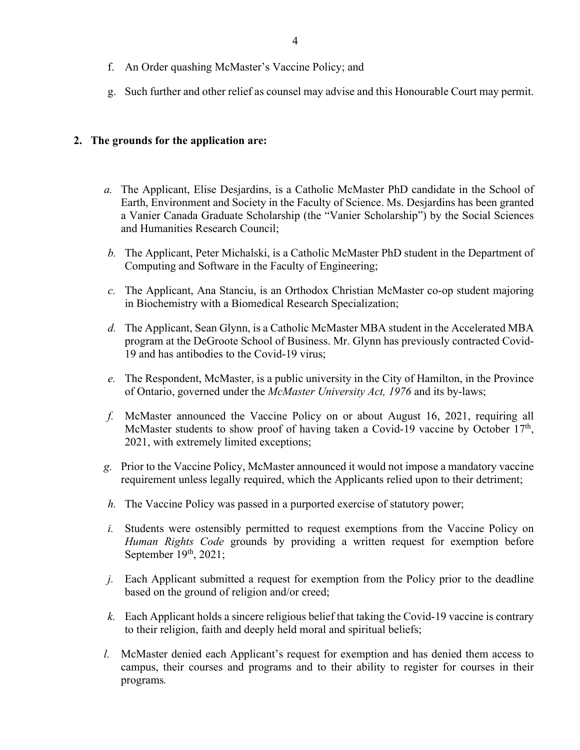- f. An Order quashing McMaster's Vaccine Policy; and
- g. Such further and other relief as counsel may advise and this Honourable Court may permit.

#### **2. The grounds for the application are:**

- *a.* The Applicant, Elise Desjardins, is a Catholic McMaster PhD candidate in the School of Earth, Environment and Society in the Faculty of Science. Ms. Desjardins has been granted a Vanier Canada Graduate Scholarship (the "Vanier Scholarship") by the Social Sciences and Humanities Research Council;
- *b.* The Applicant, Peter Michalski, is a Catholic McMaster PhD student in the Department of Computing and Software in the Faculty of Engineering;
- *c.* The Applicant, Ana Stanciu, is an Orthodox Christian McMaster co-op student majoring in Biochemistry with a Biomedical Research Specialization;
- *d.* The Applicant, Sean Glynn, is a Catholic McMaster MBA student in the Accelerated MBA program at the DeGroote School of Business. Mr. Glynn has previously contracted Covid-19 and has antibodies to the Covid-19 virus;
- *e.* The Respondent, McMaster, is a public university in the City of Hamilton, in the Province of Ontario, governed under the *McMaster University Act, 1976* and its by-laws;
- *f.* McMaster announced the Vaccine Policy on or about August 16, 2021, requiring all McMaster students to show proof of having taken a Covid-19 vaccine by October  $17<sup>th</sup>$ , 2021, with extremely limited exceptions;
- *g.* Prior to the Vaccine Policy, McMaster announced it would not impose a mandatory vaccine requirement unless legally required, which the Applicants relied upon to their detriment;
- *h.* The Vaccine Policy was passed in a purported exercise of statutory power;
- *i.* Students were ostensibly permitted to request exemptions from the Vaccine Policy on *Human Rights Code* grounds by providing a written request for exemption before September 19th, 2021;
- *j.* Each Applicant submitted a request for exemption from the Policy prior to the deadline based on the ground of religion and/or creed;
- *k.* Each Applicant holds a sincere religious belief that taking the Covid-19 vaccine is contrary to their religion, faith and deeply held moral and spiritual beliefs;
- *l.* McMaster denied each Applicant's request for exemption and has denied them access to campus, their courses and programs and to their ability to register for courses in their programs*.*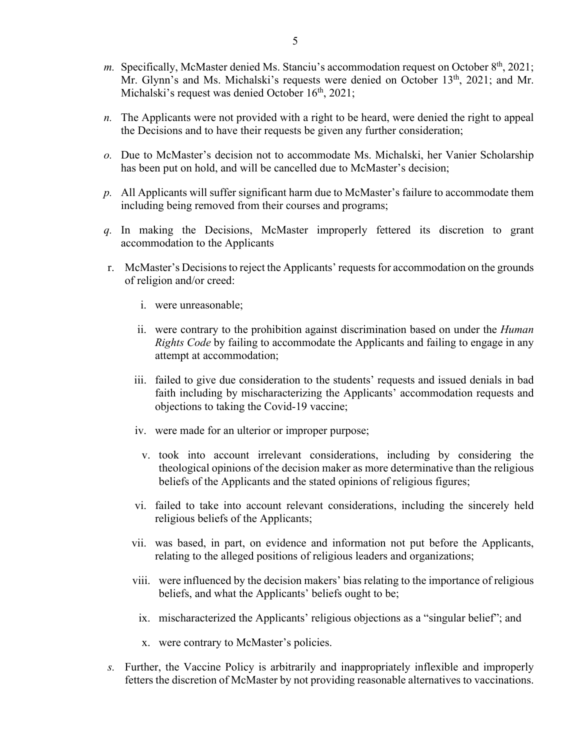- *m.* Specifically, McMaster denied Ms. Stanciu's accommodation request on October 8<sup>th</sup>, 2021; Mr. Glynn's and Ms. Michalski's requests were denied on October 13<sup>th</sup>, 2021; and Mr. Michalski's request was denied October  $16<sup>th</sup>$ , 2021;
- *n.* The Applicants were not provided with a right to be heard, were denied the right to appeal the Decisions and to have their requests be given any further consideration;
- *o.* Due to McMaster's decision not to accommodate Ms. Michalski, her Vanier Scholarship has been put on hold, and will be cancelled due to McMaster's decision;
- *p.* All Applicants will suffer significant harm due to McMaster's failure to accommodate them including being removed from their courses and programs;
- *q.* In making the Decisions, McMaster improperly fettered its discretion to grant accommodation to the Applicants
- r. McMaster's Decisions to reject the Applicants' requests for accommodation on the grounds of religion and/or creed:
	- i. were unreasonable;
	- ii. were contrary to the prohibition against discrimination based on under the *Human Rights Code* by failing to accommodate the Applicants and failing to engage in any attempt at accommodation;
	- iii. failed to give due consideration to the students' requests and issued denials in bad faith including by mischaracterizing the Applicants' accommodation requests and objections to taking the Covid-19 vaccine;
	- iv. were made for an ulterior or improper purpose;
		- v. took into account irrelevant considerations, including by considering the theological opinions of the decision maker as more determinative than the religious beliefs of the Applicants and the stated opinions of religious figures;
	- vi. failed to take into account relevant considerations, including the sincerely held religious beliefs of the Applicants;
	- vii. was based, in part, on evidence and information not put before the Applicants, relating to the alleged positions of religious leaders and organizations;
	- viii. were influenced by the decision makers' bias relating to the importance of religious beliefs, and what the Applicants' beliefs ought to be;
		- ix. mischaracterized the Applicants' religious objections as a "singular belief"; and
		- x. were contrary to McMaster's policies.
- *s.* Further, the Vaccine Policy is arbitrarily and inappropriately inflexible and improperly fetters the discretion of McMaster by not providing reasonable alternatives to vaccinations.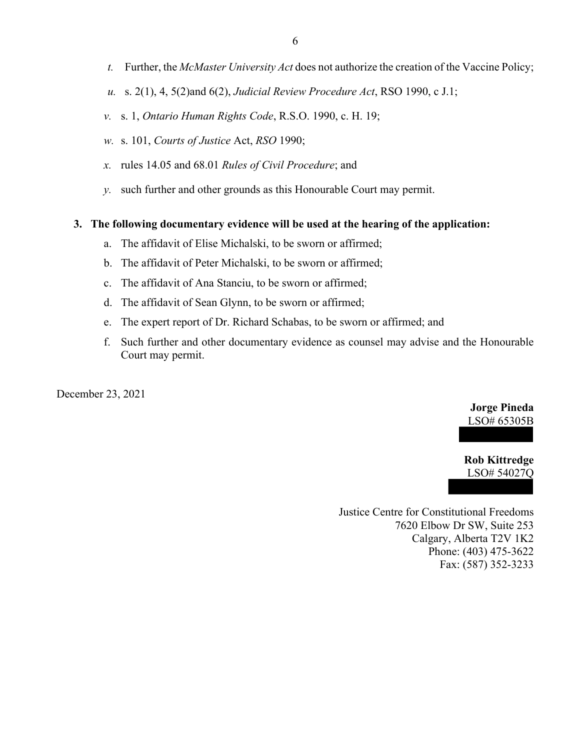- 6
- *t.* Further, the *McMaster University Act* does not authorize the creation of the Vaccine Policy;
- *u.* s. 2(1), 4, 5(2)and 6(2), *Judicial Review Procedure Act*, RSO 1990, c J.1;
- *v.* s. 1, *Ontario Human Rights Code*, R.S.O. 1990, c. H. 19;
- *w.* s. 101, *Courts of Justice* Act, *RSO* 1990;
- *x.* rules 14.05 and 68.01 *Rules of Civil Procedure*; and
- *y.* such further and other grounds as this Honourable Court may permit.

#### **3. The following documentary evidence will be used at the hearing of the application:**

- a. The affidavit of Elise Michalski, to be sworn or affirmed;
- b. The affidavit of Peter Michalski, to be sworn or affirmed;
- c. The affidavit of Ana Stanciu, to be sworn or affirmed;
- d. The affidavit of Sean Glynn, to be sworn or affirmed;
- e. The expert report of Dr. Richard Schabas, to be sworn or affirmed; and
- f. Such further and other documentary evidence as counsel may advise and the Honourable Court may permit.

December 23, 2021

## **Jorge Pineda**  LSO# 65305B

**Rob Kittredge** LSO# 54027Q

Justice Centre for Constitutional Freedoms 7620 Elbow Dr SW, Suite 253 Calgary, Alberta T2V 1K2 Phone: (403) 475-3622 Fax: (587) 352-3233